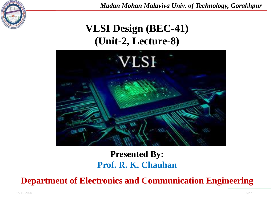

*Madan Mohan Malaviya Univ. of Technology, Gorakhpur*

# **VLSI Design (BEC-41) (Unit-2, Lecture-8)**



## **Presented By: Prof. R. K. Chauhan**

**Department of Electronics and Communication Engineering**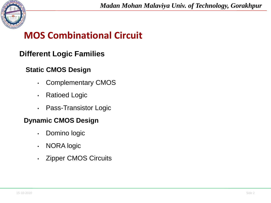

### **Different Logic Families**

#### **Static CMOS Design**

- Complementary CMOS
- Ratioed Logic
- Pass-Transistor Logic

#### **Dynamic CMOS Design**

- Domino logic
- NORA logic
- Zipper CMOS Circuits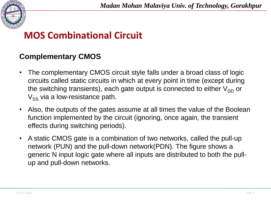

### **Complementary CMOS**

- The complementary CMOS circuit style falls under a broad class of logic circuits called static circuits in which at every point in time (except during the switching transients), each gate output is connected to either  $V_{DD}$  or  $V_{SS}$  via a low-resistance path.
- Also, the outputs of the gates assume at all times the value of the Boolean function implemented by the circuit (ignoring, once again, the transient effects during switching periods).
- A static CMOS gate is a combination of two networks, called the pull-up network (PUN) and the pull-down network(PDN). The figure shows a generic N input logic gate where all inputs are distributed to both the pullup and pull-down networks.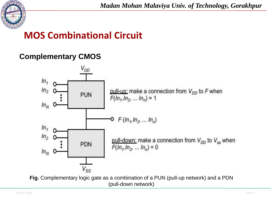

### **Complementary CMOS**



**Fig.** Complementary logic gate as a combination of a PUN (pull-up network) and a PDN (pull-down network)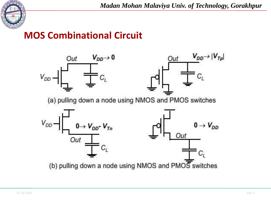

*Madan Mohan Malaviya Univ. of Technology, Gorakhpur*

## **MOS Combinational Circuit**

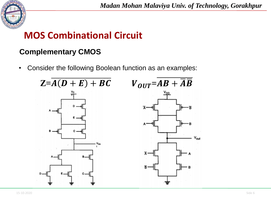

### **Complementary CMOS**

• Consider the following Boolean function as an examples:

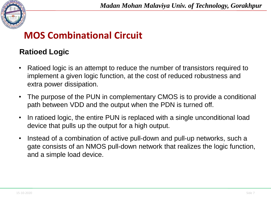

#### **Ratioed Logic**

- Ratioed logic is an attempt to reduce the number of transistors required to implement a given logic function, at the cost of reduced robustness and extra power dissipation.
- The purpose of the PUN in complementary CMOS is to provide a conditional path between VDD and the output when the PDN is turned off.
- In ratioed logic, the entire PUN is replaced with a single unconditional load device that pulls up the output for a high output.
- Instead of a combination of active pull-down and pull-up networks, such a gate consists of an NMOS pull-down network that realizes the logic function, and a simple load device.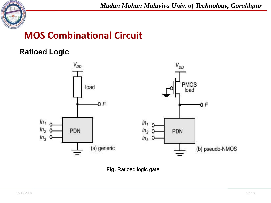

### **Ratioed Logic**



**Fig.** Ratioed logic gate.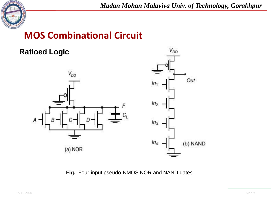

*Madan Mohan Malaviya Univ. of Technology, Gorakhpur*

 $V_{DD}$ 

## **MOS Combinational Circuit**

#### **Ratioed Logic**



**Fig.**. Four-input pseudo-NMOS NOR and NAND gates